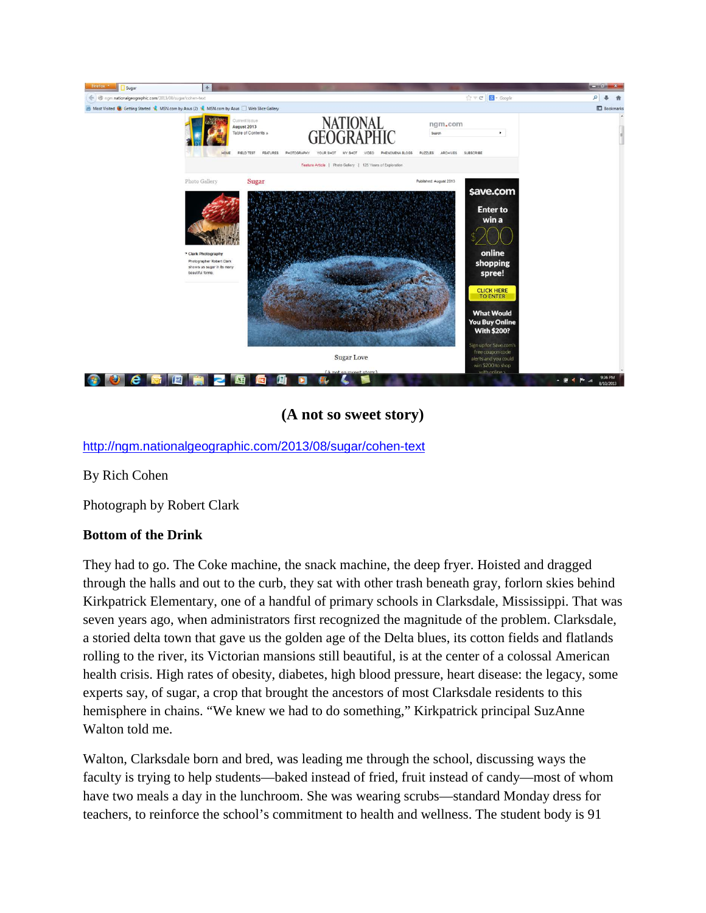

**(A not so sweet story)**

<http://ngm.nationalgeographic.com/2013/08/sugar/cohen-text>

By Rich Cohen

Photograph by Robert Clark

### **Bottom of the Drink**

They had to go. The Coke machine, the snack machine, the deep fryer. Hoisted and dragged through the halls and out to the curb, they sat with other trash beneath gray, forlorn skies behind Kirkpatrick Elementary, one of a handful of primary schools in Clarksdale, Mississippi. That was seven years ago, when administrators first recognized the magnitude of the problem. Clarksdale, a storied delta town that gave us the golden age of the Delta blues, its cotton fields and flatlands rolling to the river, its Victorian mansions still beautiful, is at the center of a colossal American health crisis. High rates of obesity, diabetes, high blood pressure, heart disease: the legacy, some experts say, of sugar, a crop that brought the ancestors of most Clarksdale residents to this hemisphere in chains. "We knew we had to do something," Kirkpatrick principal SuzAnne Walton told me.

Walton, Clarksdale born and bred, was leading me through the school, discussing ways the faculty is trying to help students—baked instead of fried, fruit instead of candy—most of whom have two meals a day in the lunchroom. She was wearing scrubs—standard Monday dress for teachers, to reinforce the school's commitment to health and wellness. The student body is 91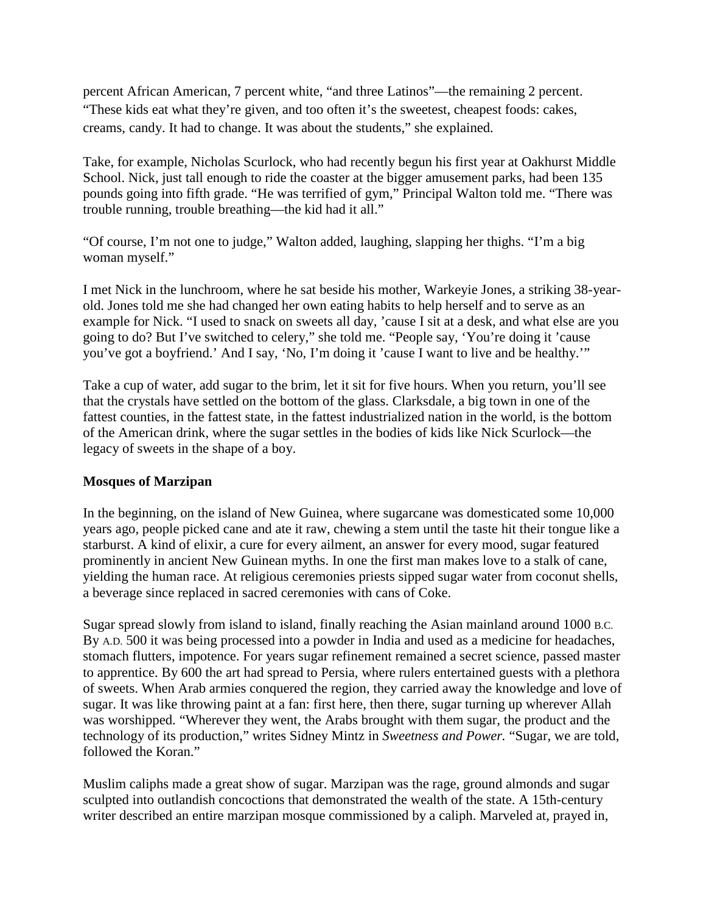percent African American, 7 percent white, "and three Latinos"—the remaining 2 percent. "These kids eat what they're given, and too often it's the sweetest, cheapest foods: cakes, creams, candy. It had to change. It was about the students," she explained.

Take, for example, Nicholas Scurlock, who had recently begun his first year at Oakhurst Middle School. Nick, just tall enough to ride the coaster at the bigger amusement parks, had been 135 pounds going into fifth grade. "He was terrified of gym," Principal Walton told me. "There was trouble running, trouble breathing—the kid had it all."

"Of course, I'm not one to judge," Walton added, laughing, slapping her thighs. "I'm a big woman myself."

I met Nick in the lunchroom, where he sat beside his mother, Warkeyie Jones, a striking 38-yearold. Jones told me she had changed her own eating habits to help herself and to serve as an example for Nick. "I used to snack on sweets all day, 'cause I sit at a desk, and what else are you going to do? But I've switched to celery," she told me. "People say, 'You're doing it 'cause you've got a boyfriend.' And I say, 'No, I'm doing it 'cause I want to live and be healthy.'"

Take a cup of water, add sugar to the brim, let it sit for five hours. When you return, you'll see that the crystals have settled on the bottom of the glass. Clarksdale, a big town in one of the fattest counties, in the fattest state, in the fattest industrialized nation in the world, is the bottom of the American drink, where the sugar settles in the bodies of kids like Nick Scurlock—the legacy of sweets in the shape of a boy.

#### **Mosques of Marzipan**

In the beginning, on the island of New Guinea, where sugarcane was domesticated some 10,000 years ago, people picked cane and ate it raw, chewing a stem until the taste hit their tongue like a starburst. A kind of elixir, a cure for every ailment, an answer for every mood, sugar featured prominently in ancient New Guinean myths. In one the first man makes love to a stalk of cane, yielding the human race. At religious ceremonies priests sipped sugar water from coconut shells, a beverage since replaced in sacred ceremonies with cans of Coke.

Sugar spread slowly from island to island, finally reaching the Asian mainland around 1000 B.C. By A.D. 500 it was being processed into a powder in India and used as a medicine for headaches, stomach flutters, impotence. For years sugar refinement remained a secret science, passed master to apprentice. By 600 the art had spread to Persia, where rulers entertained guests with a plethora of sweets. When Arab armies conquered the region, they carried away the knowledge and love of sugar. It was like throwing paint at a fan: first here, then there, sugar turning up wherever Allah was worshipped. "Wherever they went, the Arabs brought with them sugar, the product and the technology of its production," writes Sidney Mintz in *Sweetness and Power.* "Sugar, we are told, followed the Koran."

Muslim caliphs made a great show of sugar. Marzipan was the rage, ground almonds and sugar sculpted into outlandish concoctions that demonstrated the wealth of the state. A 15th-century writer described an entire marzipan mosque commissioned by a caliph. Marveled at, prayed in,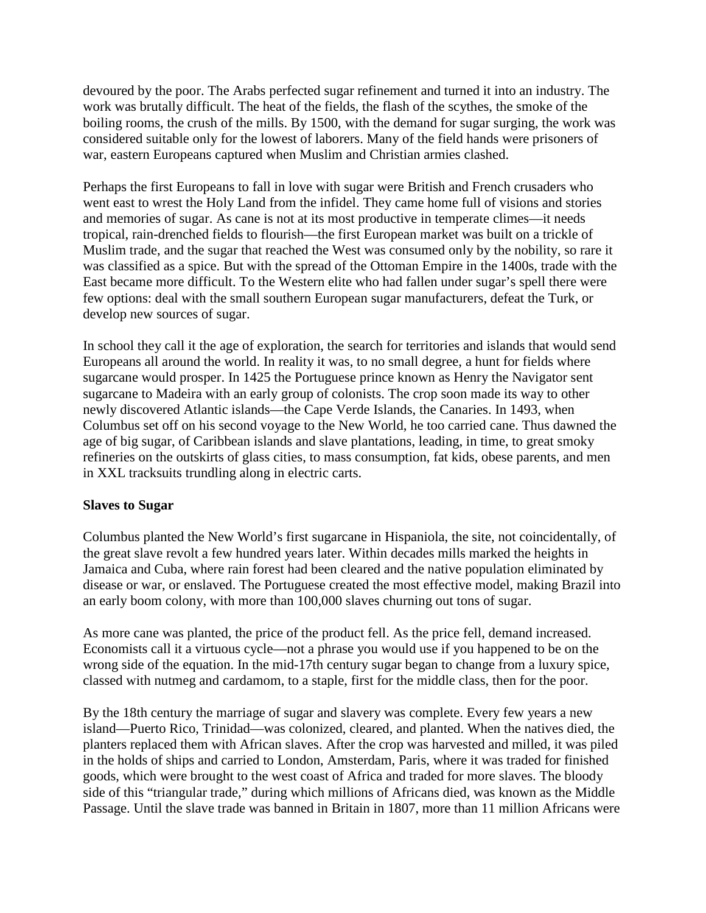devoured by the poor. The Arabs perfected sugar refinement and turned it into an industry. The work was brutally difficult. The heat of the fields, the flash of the scythes, the smoke of the boiling rooms, the crush of the mills. By 1500, with the demand for sugar surging, the work was considered suitable only for the lowest of laborers. Many of the field hands were prisoners of war, eastern Europeans captured when Muslim and Christian armies clashed.

Perhaps the first Europeans to fall in love with sugar were British and French crusaders who went east to wrest the Holy Land from the infidel. They came home full of visions and stories and memories of sugar. As cane is not at its most productive in temperate climes—it needs tropical, rain-drenched fields to flourish—the first European market was built on a trickle of Muslim trade, and the sugar that reached the West was consumed only by the nobility, so rare it was classified as a spice. But with the spread of the Ottoman Empire in the 1400s, trade with the East became more difficult. To the Western elite who had fallen under sugar's spell there were few options: deal with the small southern European sugar manufacturers, defeat the Turk, or develop new sources of sugar.

In school they call it the age of exploration, the search for territories and islands that would send Europeans all around the world. In reality it was, to no small degree, a hunt for fields where sugarcane would prosper. In 1425 the Portuguese prince known as Henry the Navigator sent sugarcane to Madeira with an early group of colonists. The crop soon made its way to other newly discovered Atlantic islands—the Cape Verde Islands, the Canaries. In 1493, when Columbus set off on his second voyage to the New World, he too carried cane. Thus dawned the age of big sugar, of Caribbean islands and slave plantations, leading, in time, to great smoky refineries on the outskirts of glass cities, to mass consumption, fat kids, obese parents, and men in XXL tracksuits trundling along in electric carts.

### **Slaves to Sugar**

Columbus planted the New World's first sugarcane in Hispaniola, the site, not coincidentally, of the great slave revolt a few hundred years later. Within decades mills marked the heights in Jamaica and Cuba, where rain forest had been cleared and the native population eliminated by disease or war, or enslaved. The Portuguese created the most effective model, making Brazil into an early boom colony, with more than 100,000 slaves churning out tons of sugar.

As more cane was planted, the price of the product fell. As the price fell, demand increased. Economists call it a virtuous cycle—not a phrase you would use if you happened to be on the wrong side of the equation. In the mid-17th century sugar began to change from a luxury spice, classed with nutmeg and cardamom, to a staple, first for the middle class, then for the poor.

By the 18th century the marriage of sugar and slavery was complete. Every few years a new island—Puerto Rico, Trinidad—was colonized, cleared, and planted. When the natives died, the planters replaced them with African slaves. After the crop was harvested and milled, it was piled in the holds of ships and carried to London, Amsterdam, Paris, where it was traded for finished goods, which were brought to the west coast of Africa and traded for more slaves. The bloody side of this "triangular trade," during which millions of Africans died, was known as the Middle Passage. Until the slave trade was banned in Britain in 1807, more than 11 million Africans were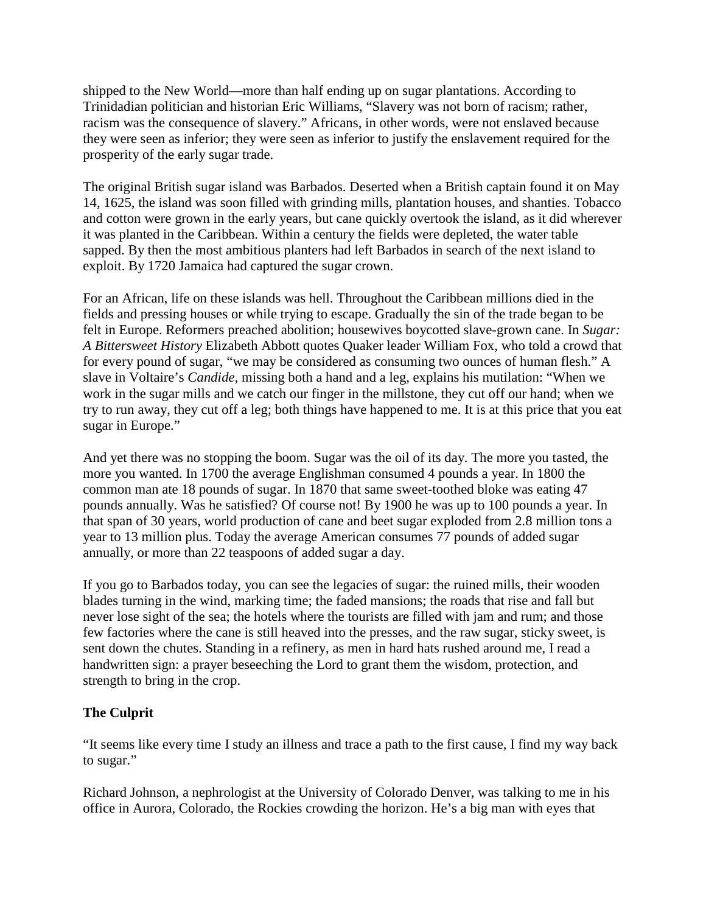shipped to the New World—more than half ending up on sugar plantations. According to Trinidadian politician and historian Eric Williams, "Slavery was not born of racism; rather, racism was the consequence of slavery." Africans, in other words, were not enslaved because they were seen as inferior; they were seen as inferior to justify the enslavement required for the prosperity of the early sugar trade.

The original British sugar island was Barbados. Deserted when a British captain found it on May 14, 1625, the island was soon filled with grinding mills, plantation houses, and shanties. Tobacco and cotton were grown in the early years, but cane quickly overtook the island, as it did wherever it was planted in the Caribbean. Within a century the fields were depleted, the water table sapped. By then the most ambitious planters had left Barbados in search of the next island to exploit. By 1720 Jamaica had captured the sugar crown.

For an African, life on these islands was hell. Throughout the Caribbean millions died in the fields and pressing houses or while trying to escape. Gradually the sin of the trade began to be felt in Europe. Reformers preached abolition; housewives boycotted slave-grown cane. In *Sugar: A Bittersweet History* Elizabeth Abbott quotes Quaker leader William Fox, who told a crowd that for every pound of sugar, "we may be considered as consuming two ounces of human flesh." A slave in Voltaire's *Candide,* missing both a hand and a leg, explains his mutilation: "When we work in the sugar mills and we catch our finger in the millstone, they cut off our hand; when we try to run away, they cut off a leg; both things have happened to me. It is at this price that you eat sugar in Europe."

And yet there was no stopping the boom. Sugar was the oil of its day. The more you tasted, the more you wanted. In 1700 the average Englishman consumed 4 pounds a year. In 1800 the common man ate 18 pounds of sugar. In 1870 that same sweet-toothed bloke was eating 47 pounds annually. Was he satisfied? Of course not! By 1900 he was up to 100 pounds a year. In that span of 30 years, world production of cane and beet sugar exploded from 2.8 million tons a year to 13 million plus. Today the average American consumes 77 pounds of added sugar annually, or more than 22 teaspoons of added sugar a day.

If you go to Barbados today, you can see the legacies of sugar: the ruined mills, their wooden blades turning in the wind, marking time; the faded mansions; the roads that rise and fall but never lose sight of the sea; the hotels where the tourists are filled with jam and rum; and those few factories where the cane is still heaved into the presses, and the raw sugar, sticky sweet, is sent down the chutes. Standing in a refinery, as men in hard hats rushed around me, I read a handwritten sign: a prayer beseeching the Lord to grant them the wisdom, protection, and strength to bring in the crop.

# **The Culprit**

"It seems like every time I study an illness and trace a path to the first cause, I find my way back to sugar."

Richard Johnson, a nephrologist at the University of Colorado Denver, was talking to me in his office in Aurora, Colorado, the Rockies crowding the horizon. He's a big man with eyes that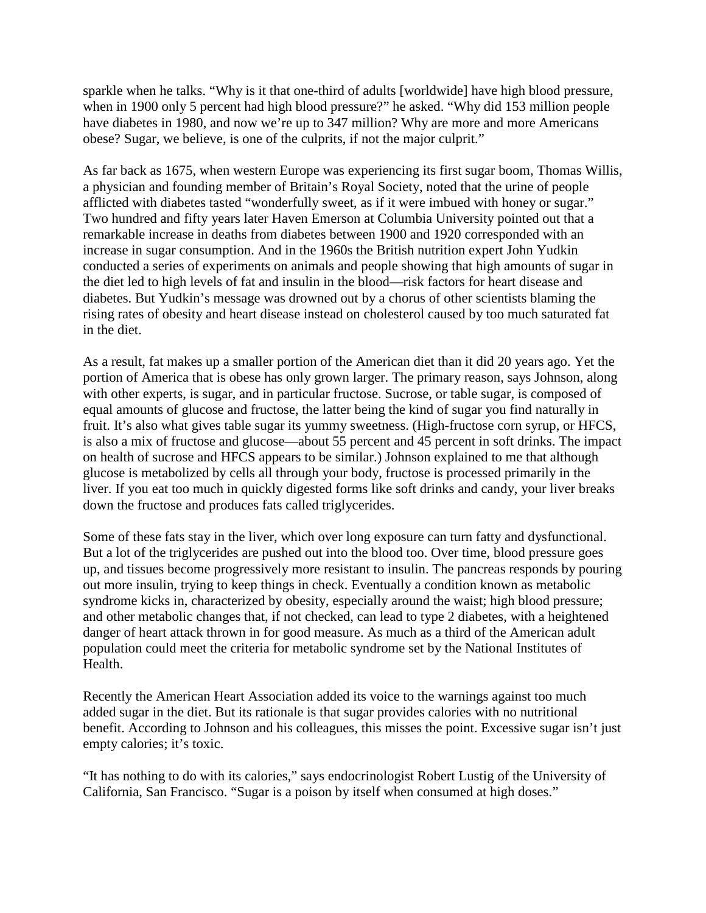sparkle when he talks. "Why is it that one-third of adults [worldwide] have high blood pressure, when in 1900 only 5 percent had high blood pressure?" he asked. "Why did 153 million people have diabetes in 1980, and now we're up to 347 million? Why are more and more Americans obese? Sugar, we believe, is one of the culprits, if not the major culprit."

As far back as 1675, when western Europe was experiencing its first sugar boom, Thomas Willis, a physician and founding member of Britain's Royal Society, noted that the urine of people afflicted with diabetes tasted "wonderfully sweet, as if it were imbued with honey or sugar." Two hundred and fifty years later Haven Emerson at Columbia University pointed out that a remarkable increase in deaths from diabetes between 1900 and 1920 corresponded with an increase in sugar consumption. And in the 1960s the British nutrition expert John Yudkin conducted a series of experiments on animals and people showing that high amounts of sugar in the diet led to high levels of fat and insulin in the blood—risk factors for heart disease and diabetes. But Yudkin's message was drowned out by a chorus of other scientists blaming the rising rates of obesity and heart disease instead on cholesterol caused by too much saturated fat in the diet.

As a result, fat makes up a smaller portion of the American diet than it did 20 years ago. Yet the portion of America that is obese has only grown larger. The primary reason, says Johnson, along with other experts, is sugar, and in particular fructose. Sucrose, or table sugar, is composed of equal amounts of glucose and fructose, the latter being the kind of sugar you find naturally in fruit. It's also what gives table sugar its yummy sweetness. (High-fructose corn syrup, or HFCS, is also a mix of fructose and glucose—about 55 percent and 45 percent in soft drinks. The impact on health of sucrose and HFCS appears to be similar.) Johnson explained to me that although glucose is metabolized by cells all through your body, fructose is processed primarily in the liver. If you eat too much in quickly digested forms like soft drinks and candy, your liver breaks down the fructose and produces fats called triglycerides.

Some of these fats stay in the liver, which over long exposure can turn fatty and dysfunctional. But a lot of the triglycerides are pushed out into the blood too. Over time, blood pressure goes up, and tissues become progressively more resistant to insulin. The pancreas responds by pouring out more insulin, trying to keep things in check. Eventually a condition known as metabolic syndrome kicks in, characterized by obesity, especially around the waist; high blood pressure; and other metabolic changes that, if not checked, can lead to type 2 diabetes, with a heightened danger of heart attack thrown in for good measure. As much as a third of the American adult population could meet the criteria for metabolic syndrome set by the National Institutes of Health.

Recently the American Heart Association added its voice to the warnings against too much added sugar in the diet. But its rationale is that sugar provides calories with no nutritional benefit. According to Johnson and his colleagues, this misses the point. Excessive sugar isn't just empty calories; it's toxic.

"It has nothing to do with its calories," says endocrinologist Robert Lustig of the University of California, San Francisco. "Sugar is a poison by itself when consumed at high doses."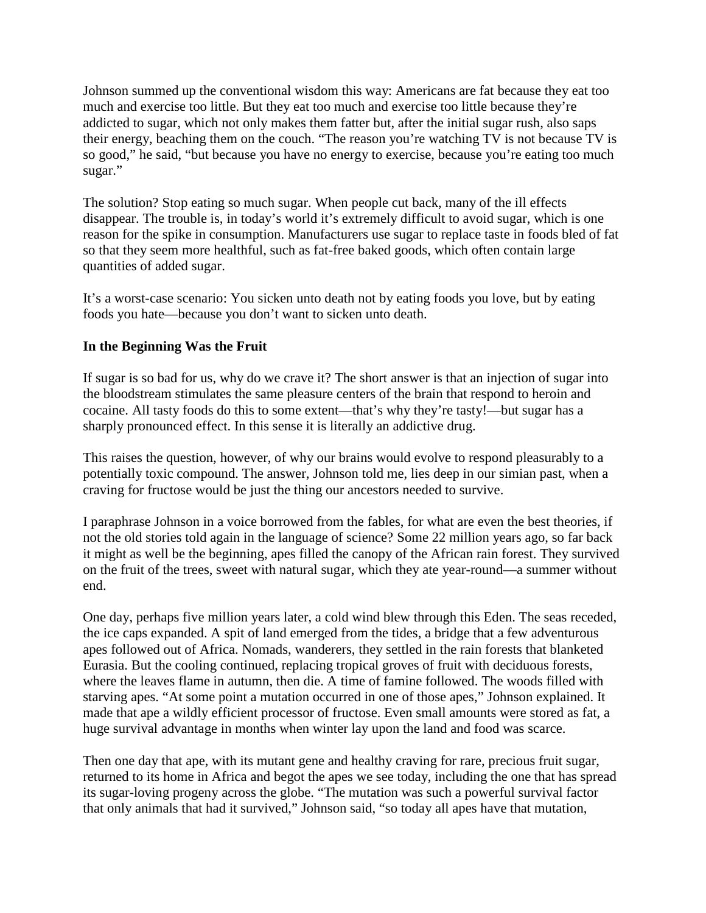Johnson summed up the conventional wisdom this way: Americans are fat because they eat too much and exercise too little. But they eat too much and exercise too little because they're addicted to sugar, which not only makes them fatter but, after the initial sugar rush, also saps their energy, beaching them on the couch. "The reason you're watching TV is not because TV is so good," he said, "but because you have no energy to exercise, because you're eating too much sugar."

The solution? Stop eating so much sugar. When people cut back, many of the ill effects disappear. The trouble is, in today's world it's extremely difficult to avoid sugar, which is one reason for the spike in consumption. Manufacturers use sugar to replace taste in foods bled of fat so that they seem more healthful, such as fat-free baked goods, which often contain large quantities of added sugar.

It's a worst-case scenario: You sicken unto death not by eating foods you love, but by eating foods you hate—because you don't want to sicken unto death.

### **In the Beginning Was the Fruit**

If sugar is so bad for us, why do we crave it? The short answer is that an injection of sugar into the bloodstream stimulates the same pleasure centers of the brain that respond to heroin and cocaine. All tasty foods do this to some extent—that's why they're tasty!—but sugar has a sharply pronounced effect. In this sense it is literally an addictive drug.

This raises the question, however, of why our brains would evolve to respond pleasurably to a potentially toxic compound. The answer, Johnson told me, lies deep in our simian past, when a craving for fructose would be just the thing our ancestors needed to survive.

I paraphrase Johnson in a voice borrowed from the fables, for what are even the best theories, if not the old stories told again in the language of science? Some 22 million years ago, so far back it might as well be the beginning, apes filled the canopy of the African rain forest. They survived on the fruit of the trees, sweet with natural sugar, which they ate year-round—a summer without end.

One day, perhaps five million years later, a cold wind blew through this Eden. The seas receded, the ice caps expanded. A spit of land emerged from the tides, a bridge that a few adventurous apes followed out of Africa. Nomads, wanderers, they settled in the rain forests that blanketed Eurasia. But the cooling continued, replacing tropical groves of fruit with deciduous forests, where the leaves flame in autumn, then die. A time of famine followed. The woods filled with starving apes. "At some point a mutation occurred in one of those apes," Johnson explained. It made that ape a wildly efficient processor of fructose. Even small amounts were stored as fat, a huge survival advantage in months when winter lay upon the land and food was scarce.

Then one day that ape, with its mutant gene and healthy craving for rare, precious fruit sugar, returned to its home in Africa and begot the apes we see today, including the one that has spread its sugar-loving progeny across the globe. "The mutation was such a powerful survival factor that only animals that had it survived," Johnson said, "so today all apes have that mutation,